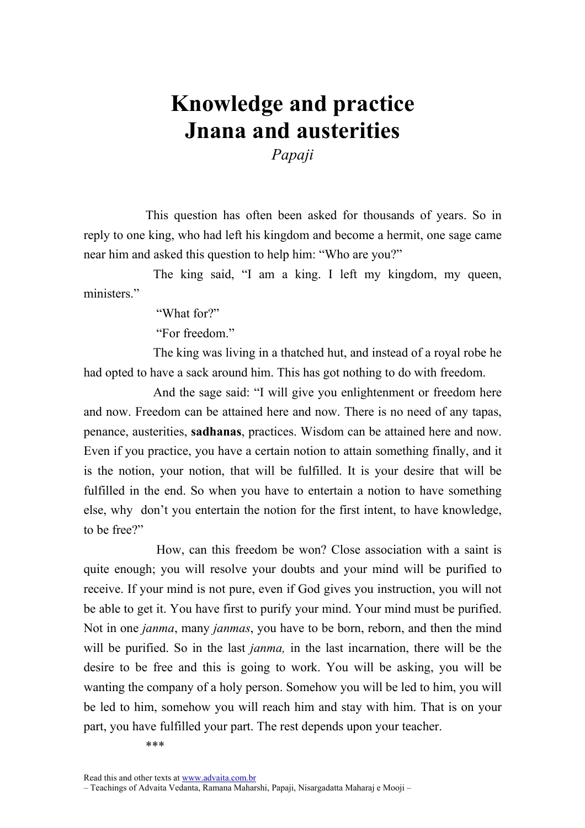## Knowledge and practice Jnana and austerities

Papaji

This question has often been asked for thousands of years. So in reply to one king, who had left his kingdom and become a hermit, one sage came near him and asked this question to help him: "Who are you?"

 The king said, "I am a king. I left my kingdom, my queen, ministers."

"What for?"

"For freedom."

 The king was living in a thatched hut, and instead of a royal robe he had opted to have a sack around him. This has got nothing to do with freedom.

 And the sage said: "I will give you enlightenment or freedom here and now. Freedom can be attained here and now. There is no need of any tapas, penance, austerities, sadhanas, practices. Wisdom can be attained here and now. Even if you practice, you have a certain notion to attain something finally, and it is the notion, your notion, that will be fulfilled. It is your desire that will be fulfilled in the end. So when you have to entertain a notion to have something else, why don't you entertain the notion for the first intent, to have knowledge, to be free?"

 How, can this freedom be won? Close association with a saint is quite enough; you will resolve your doubts and your mind will be purified to receive. If your mind is not pure, even if God gives you instruction, you will not be able to get it. You have first to purify your mind. Your mind must be purified. Not in one janma, many janmas, you have to be born, reborn, and then the mind will be purified. So in the last *janma*, in the last incarnation, there will be the desire to be free and this is going to work. You will be asking, you will be wanting the company of a holy person. Somehow you will be led to him, you will be led to him, somehow you will reach him and stay with him. That is on your part, you have fulfilled your part. The rest depends upon your teacher.

\*\*\*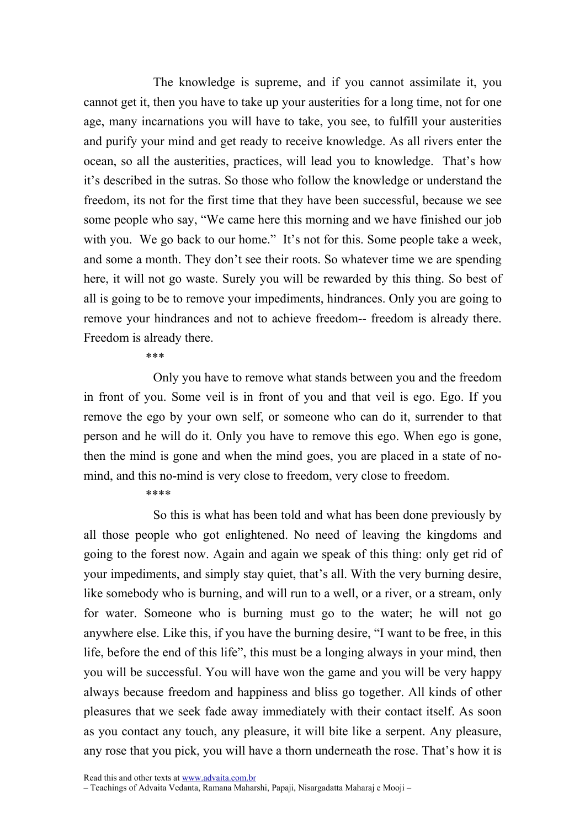The knowledge is supreme, and if you cannot assimilate it, you cannot get it, then you have to take up your austerities for a long time, not for one age, many incarnations you will have to take, you see, to fulfill your austerities and purify your mind and get ready to receive knowledge. As all rivers enter the ocean, so all the austerities, practices, will lead you to knowledge. That's how it's described in the sutras. So those who follow the knowledge or understand the freedom, its not for the first time that they have been successful, because we see some people who say, "We came here this morning and we have finished our job with you. We go back to our home." It's not for this. Some people take a week, and some a month. They don't see their roots. So whatever time we are spending here, it will not go waste. Surely you will be rewarded by this thing. So best of all is going to be to remove your impediments, hindrances. Only you are going to remove your hindrances and not to achieve freedom-- freedom is already there. Freedom is already there.

\*\*\*

 Only you have to remove what stands between you and the freedom in front of you. Some veil is in front of you and that veil is ego. Ego. If you remove the ego by your own self, or someone who can do it, surrender to that person and he will do it. Only you have to remove this ego. When ego is gone, then the mind is gone and when the mind goes, you are placed in a state of nomind, and this no-mind is very close to freedom, very close to freedom.

## \*\*\*\*

 So this is what has been told and what has been done previously by all those people who got enlightened. No need of leaving the kingdoms and going to the forest now. Again and again we speak of this thing: only get rid of your impediments, and simply stay quiet, that's all. With the very burning desire, like somebody who is burning, and will run to a well, or a river, or a stream, only for water. Someone who is burning must go to the water; he will not go anywhere else. Like this, if you have the burning desire, "I want to be free, in this life, before the end of this life", this must be a longing always in your mind, then you will be successful. You will have won the game and you will be very happy always because freedom and happiness and bliss go together. All kinds of other pleasures that we seek fade away immediately with their contact itself. As soon as you contact any touch, any pleasure, it will bite like a serpent. Any pleasure, any rose that you pick, you will have a thorn underneath the rose. That's how it is

Read this and other texts at www.advaita.com.br

– Teachings of Advaita Vedanta, Ramana Maharshi, Papaji, Nisargadatta Maharaj e Mooji –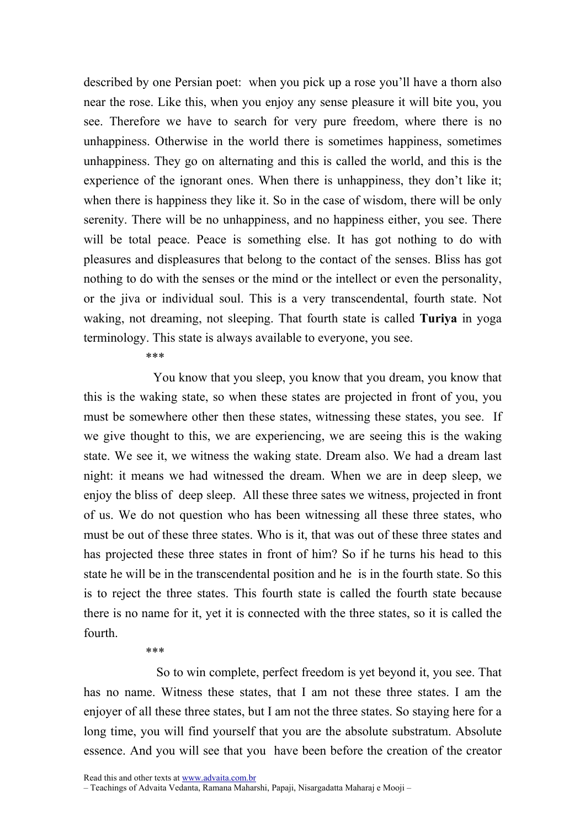described by one Persian poet: when you pick up a rose you'll have a thorn also near the rose. Like this, when you enjoy any sense pleasure it will bite you, you see. Therefore we have to search for very pure freedom, where there is no unhappiness. Otherwise in the world there is sometimes happiness, sometimes unhappiness. They go on alternating and this is called the world, and this is the experience of the ignorant ones. When there is unhappiness, they don't like it; when there is happiness they like it. So in the case of wisdom, there will be only serenity. There will be no unhappiness, and no happiness either, you see. There will be total peace. Peace is something else. It has got nothing to do with pleasures and displeasures that belong to the contact of the senses. Bliss has got nothing to do with the senses or the mind or the intellect or even the personality, or the jiva or individual soul. This is a very transcendental, fourth state. Not waking, not dreaming, not sleeping. That fourth state is called **Turiya** in yoga terminology. This state is always available to everyone, you see.

\*\*\*

 You know that you sleep, you know that you dream, you know that this is the waking state, so when these states are projected in front of you, you must be somewhere other then these states, witnessing these states, you see. If we give thought to this, we are experiencing, we are seeing this is the waking state. We see it, we witness the waking state. Dream also. We had a dream last night: it means we had witnessed the dream. When we are in deep sleep, we enjoy the bliss of deep sleep. All these three sates we witness, projected in front of us. We do not question who has been witnessing all these three states, who must be out of these three states. Who is it, that was out of these three states and has projected these three states in front of him? So if he turns his head to this state he will be in the transcendental position and he is in the fourth state. So this is to reject the three states. This fourth state is called the fourth state because there is no name for it, yet it is connected with the three states, so it is called the fourth.

## \*\*\*

 So to win complete, perfect freedom is yet beyond it, you see. That has no name. Witness these states, that I am not these three states. I am the enjoyer of all these three states, but I am not the three states. So staying here for a long time, you will find yourself that you are the absolute substratum. Absolute essence. And you will see that you have been before the creation of the creator

Read this and other texts at www.advaita.com.br

– Teachings of Advaita Vedanta, Ramana Maharshi, Papaji, Nisargadatta Maharaj e Mooji –